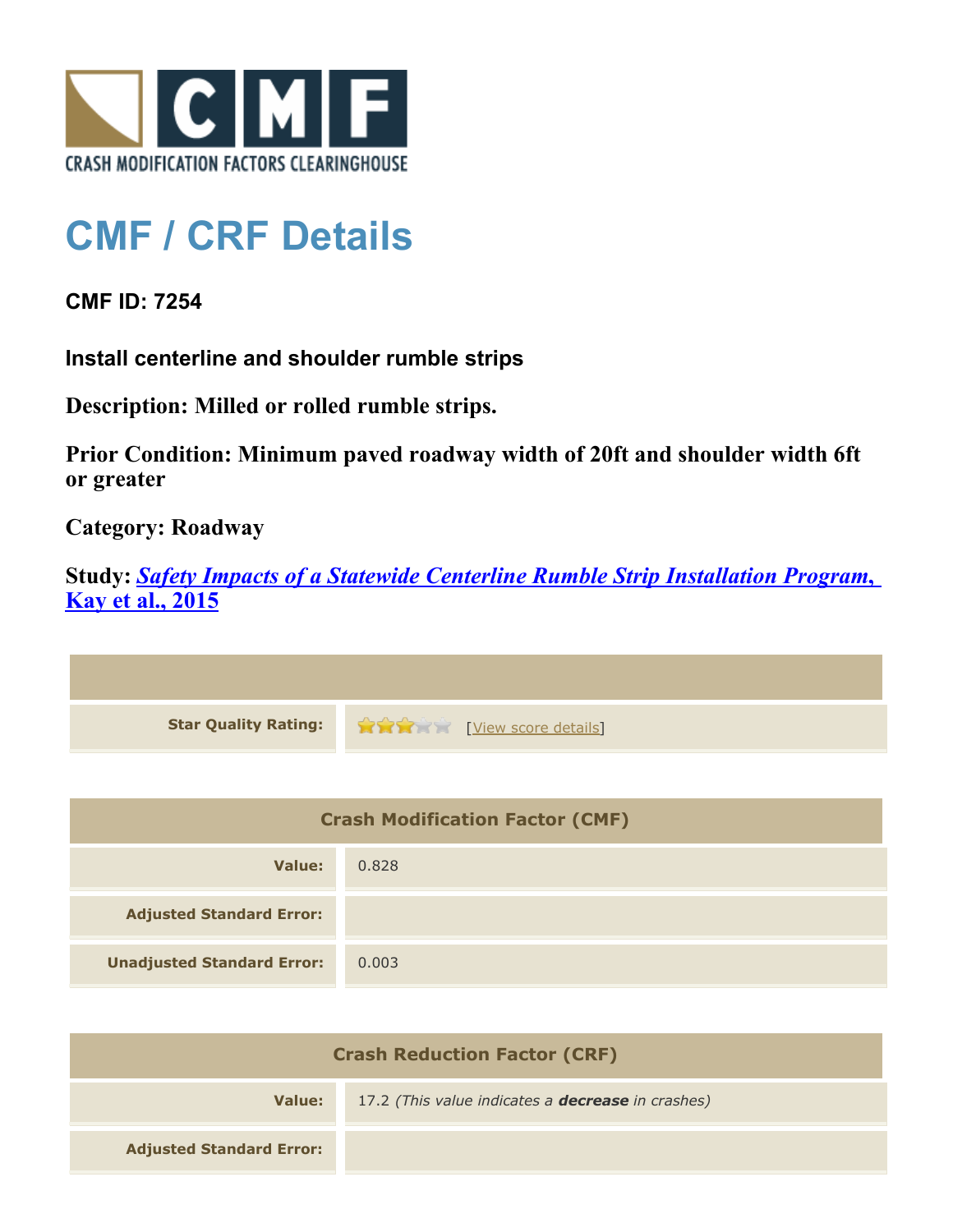

## **CMF / CRF Details**

**CMF ID: 7254**

**Install centerline and shoulder rumble strips**

**Description: Milled or rolled rumble strips.**

**Prior Condition: Minimum paved roadway width of 20ft and shoulder width 6ft or greater**

**Category: Roadway**

**Study:** *[Safety Impacts of a Statewide Centerline Rumble Strip Installation Program](http://www.cmfclearinghouse.org/study_detail.cfm?stid=421)***[,](http://www.cmfclearinghouse.org/study_detail.cfm?stid=421) [Kay et al., 2015](http://www.cmfclearinghouse.org/study_detail.cfm?stid=421)**



| <b>Crash Modification Factor (CMF)</b> |       |
|----------------------------------------|-------|
| Value:                                 | 0.828 |
| <b>Adjusted Standard Error:</b>        |       |
| <b>Unadjusted Standard Error:</b>      | 0.003 |

| <b>Crash Reduction Factor (CRF)</b> |                                                          |
|-------------------------------------|----------------------------------------------------------|
| Value:                              | 17.2 (This value indicates a <b>decrease</b> in crashes) |
| <b>Adjusted Standard Error:</b>     |                                                          |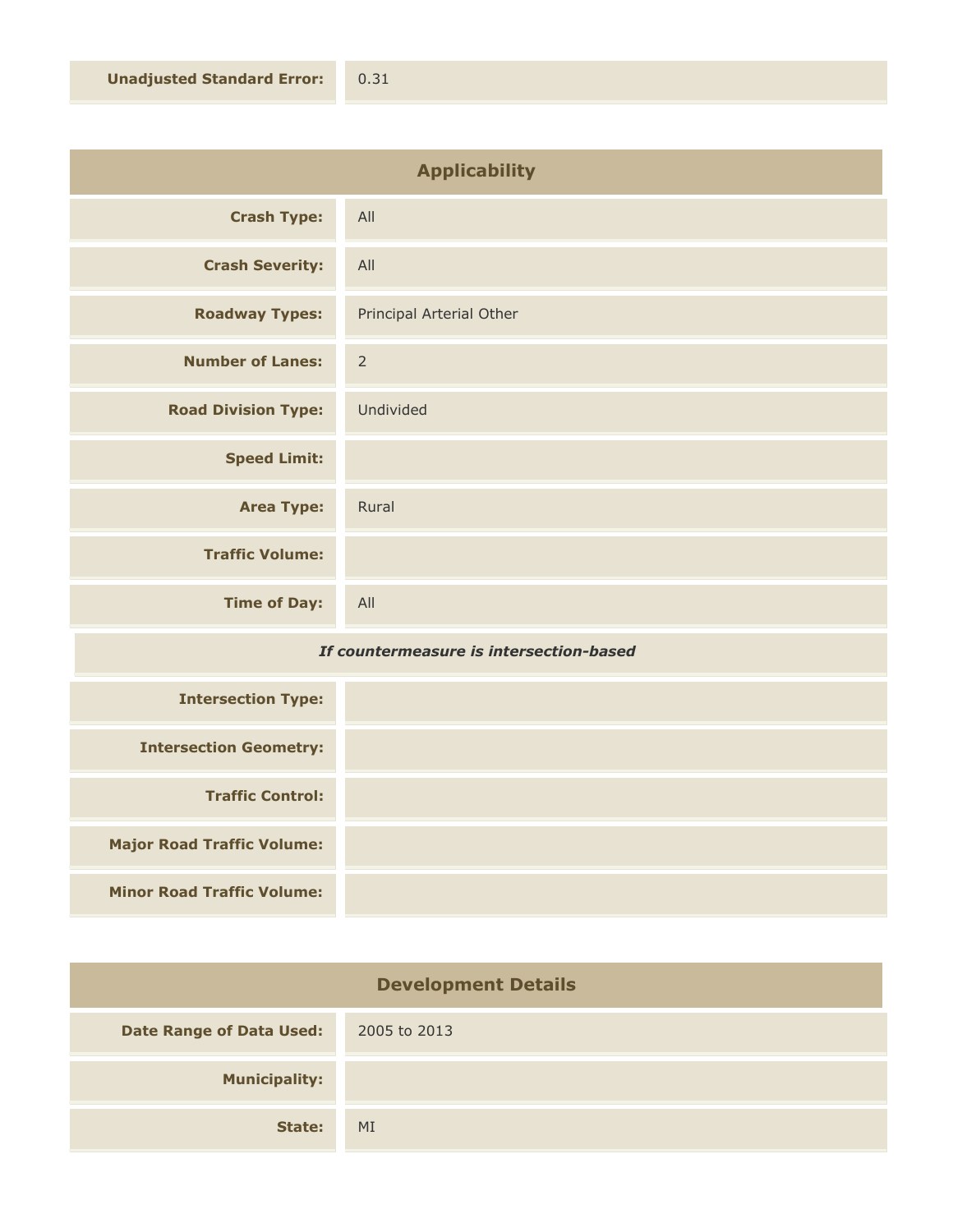| <b>Applicability</b>       |                          |
|----------------------------|--------------------------|
| <b>Crash Type:</b>         | All                      |
| <b>Crash Severity:</b>     | All                      |
| <b>Roadway Types:</b>      | Principal Arterial Other |
| <b>Number of Lanes:</b>    | $\overline{2}$           |
| <b>Road Division Type:</b> | Undivided                |
| <b>Speed Limit:</b>        |                          |
| <b>Area Type:</b>          | Rural                    |
| <b>Traffic Volume:</b>     |                          |
| <b>Time of Day:</b>        | All                      |

## *If countermeasure is intersection-based*

| <b>Intersection Type:</b>         |  |
|-----------------------------------|--|
| <b>Intersection Geometry:</b>     |  |
| <b>Traffic Control:</b>           |  |
| <b>Major Road Traffic Volume:</b> |  |
| <b>Minor Road Traffic Volume:</b> |  |

| <b>Development Details</b>      |              |
|---------------------------------|--------------|
| <b>Date Range of Data Used:</b> | 2005 to 2013 |
| <b>Municipality:</b>            |              |
| State:                          | MI           |